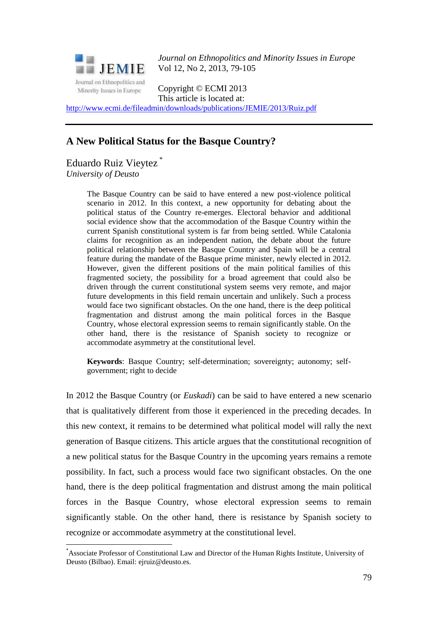

*Journal on Ethnopolitics and Minority Issues in Europe* Vol 12, No 2, 2013, 79-105

Copyright © ECMI 2013 This article is located at:

<http://www.ecmi.de/fileadmin/downloads/publications/JEMIE/2013/Ruiz.pdf>

# **A New Political Status for the Basque Country?**

Eduardo Ruiz Vieytez \* *University of Deusto*

<u>.</u>

The Basque Country can be said to have entered a new post-violence political scenario in 2012. In this context, a new opportunity for debating about the political status of the Country re-emerges. Electoral behavior and additional social evidence show that the accommodation of the Basque Country within the current Spanish constitutional system is far from being settled. While Catalonia claims for recognition as an independent nation, the debate about the future political relationship between the Basque Country and Spain will be a central feature during the mandate of the Basque prime minister, newly elected in 2012. However, given the different positions of the main political families of this fragmented society, the possibility for a broad agreement that could also be driven through the current constitutional system seems very remote, and major future developments in this field remain uncertain and unlikely. Such a process would face two significant obstacles. On the one hand, there is the deep political fragmentation and distrust among the main political forces in the Basque Country, whose electoral expression seems to remain significantly stable. On the other hand, there is the resistance of Spanish society to recognize or accommodate asymmetry at the constitutional level.

**Keywords**: Basque Country; self-determination; sovereignty; autonomy; selfgovernment; right to decide

In 2012 the Basque Country (or *Euskadi*) can be said to have entered a new scenario that is qualitatively different from those it experienced in the preceding decades. In this new context, it remains to be determined what political model will rally the next generation of Basque citizens. This article argues that the constitutional recognition of a new political status for the Basque Country in the upcoming years remains a remote possibility. In fact, such a process would face two significant obstacles. On the one hand, there is the deep political fragmentation and distrust among the main political forces in the Basque Country, whose electoral expression seems to remain significantly stable. On the other hand, there is resistance by Spanish society to recognize or accommodate asymmetry at the constitutional level.

<sup>\*</sup>Associate Professor of Constitutional Law and Director of the Human Rights Institute, University of Deusto (Bilbao). Email: ejruiz@deusto.es.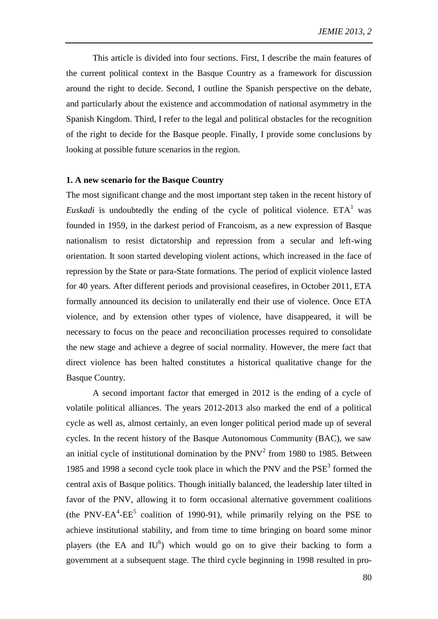This article is divided into four sections. First, I describe the main features of the current political context in the Basque Country as a framework for discussion around the right to decide. Second, I outline the Spanish perspective on the debate, and particularly about the existence and accommodation of national asymmetry in the Spanish Kingdom. Third, I refer to the legal and political obstacles for the recognition of the right to decide for the Basque people. Finally, I provide some conclusions by looking at possible future scenarios in the region.

## **1. A new scenario for the Basque Country**

The most significant change and the most important step taken in the recent history of *Euskadi* is undoubtedly the ending of the cycle of political violence.  $ETA<sup>1</sup>$  was founded in 1959, in the darkest period of Francoism, as a new expression of Basque nationalism to resist dictatorship and repression from a secular and left-wing orientation. It soon started developing violent actions, which increased in the face of repression by the State or para-State formations. The period of explicit violence lasted for 40 years. After different periods and provisional ceasefires, in October 2011, ETA formally announced its decision to unilaterally end their use of violence. Once ETA violence, and by extension other types of violence, have disappeared, it will be necessary to focus on the peace and reconciliation processes required to consolidate the new stage and achieve a degree of social normality. However, the mere fact that direct violence has been halted constitutes a historical qualitative change for the Basque Country.

A second important factor that emerged in 2012 is the ending of a cycle of volatile political alliances. The years 2012-2013 also marked the end of a political cycle as well as, almost certainly, an even longer political period made up of several cycles. In the recent history of the Basque Autonomous Community (BAC), we saw an initial cycle of institutional domination by the  $PNV<sup>2</sup>$  from 1980 to 1985. Between 1985 and 1998 a second cycle took place in which the PNV and the  $PSE<sup>3</sup>$  formed the central axis of Basque politics. Though initially balanced, the leadership later tilted in favor of the PNV, allowing it to form occasional alternative government coalitions (the PNV-EA<sup>4</sup>-EE<sup>5</sup> coalition of 1990-91), while primarily relying on the PSE to achieve institutional stability, and from time to time bringing on board some minor players (the EA and  $IU^6$ ) which would go on to give their backing to form a government at a subsequent stage. The third cycle beginning in 1998 resulted in pro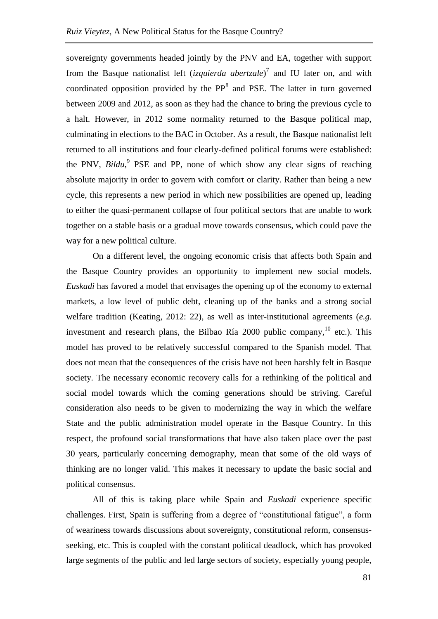sovereignty governments headed jointly by the PNV and EA, together with support from the Basque nationalist left (*izquierda abertzale*) 7 and IU later on, and with coordinated opposition provided by the  $PP<sup>8</sup>$  and PSE. The latter in turn governed between 2009 and 2012, as soon as they had the chance to bring the previous cycle to a halt. However, in 2012 some normality returned to the Basque political map, culminating in elections to the BAC in October. As a result, the Basque nationalist left returned to all institutions and four clearly-defined political forums were established: the PNV, *Bildu*,<sup>9</sup> PSE and PP, none of which show any clear signs of reaching absolute majority in order to govern with comfort or clarity. Rather than being a new cycle, this represents a new period in which new possibilities are opened up, leading to either the quasi-permanent collapse of four political sectors that are unable to work together on a stable basis or a gradual move towards consensus, which could pave the way for a new political culture.

On a different level, the ongoing economic crisis that affects both Spain and the Basque Country provides an opportunity to implement new social models. *Euskadi* has favored a model that envisages the opening up of the economy to external markets, a low level of public debt, cleaning up of the banks and a strong social welfare tradition (Keating, 2012: 22), as well as inter-institutional agreements (*e.g.* investment and research plans, the Bilbao Ría 2000 public company,<sup>10</sup> etc.). This model has proved to be relatively successful compared to the Spanish model. That does not mean that the consequences of the crisis have not been harshly felt in Basque society. The necessary economic recovery calls for a rethinking of the political and social model towards which the coming generations should be striving. Careful consideration also needs to be given to modernizing the way in which the welfare State and the public administration model operate in the Basque Country. In this respect, the profound social transformations that have also taken place over the past 30 years, particularly concerning demography, mean that some of the old ways of thinking are no longer valid. This makes it necessary to update the basic social and political consensus.

All of this is taking place while Spain and *Euskadi* experience specific challenges. First, Spain is suffering from a degree of "constitutional fatigue", a form of weariness towards discussions about sovereignty, constitutional reform, consensusseeking, etc. This is coupled with the constant political deadlock, which has provoked large segments of the public and led large sectors of society, especially young people,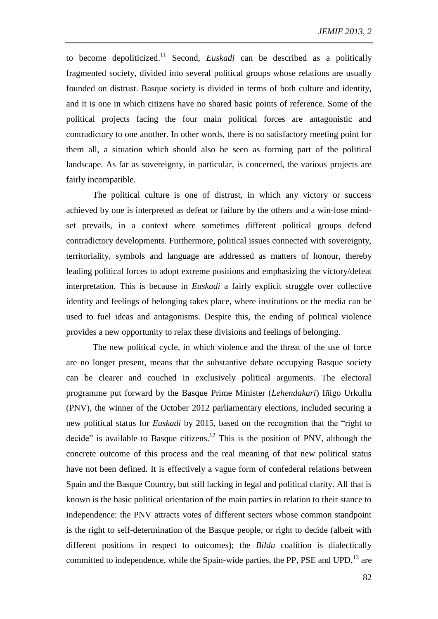to become depoliticized. <sup>11</sup> Second, *Euskadi* can be described as a politically fragmented society, divided into several political groups whose relations are usually founded on distrust. Basque society is divided in terms of both culture and identity, and it is one in which citizens have no shared basic points of reference. Some of the political projects facing the four main political forces are antagonistic and contradictory to one another. In other words, there is no satisfactory meeting point for them all, a situation which should also be seen as forming part of the political landscape. As far as sovereignty, in particular, is concerned, the various projects are fairly incompatible.

The political culture is one of distrust, in which any victory or success achieved by one is interpreted as defeat or failure by the others and a win-lose mindset prevails, in a context where sometimes different political groups defend contradictory developments. Furthermore, political issues connected with sovereignty, territoriality, symbols and language are addressed as matters of honour, thereby leading political forces to adopt extreme positions and emphasizing the victory/defeat interpretation. This is because in *Euskadi* a fairly explicit struggle over collective identity and feelings of belonging takes place, where institutions or the media can be used to fuel ideas and antagonisms. Despite this, the ending of political violence provides a new opportunity to relax these divisions and feelings of belonging.

The new political cycle, in which violence and the threat of the use of force are no longer present, means that the substantive debate occupying Basque society can be clearer and couched in exclusively political arguments. The electoral programme put forward by the Basque Prime Minister (*Lehendakari*) Iñigo Urkullu (PNV), the winner of the October 2012 parliamentary elections, included securing a new political status for *Euskadi* by 2015, based on the recognition that the "right to decide" is available to Basque citizens.<sup>12</sup> This is the position of PNV, although the concrete outcome of this process and the real meaning of that new political status have not been defined. It is effectively a vague form of confederal relations between Spain and the Basque Country, but still lacking in legal and political clarity. All that is known is the basic political orientation of the main parties in relation to their stance to independence: the PNV attracts votes of different sectors whose common standpoint is the right to self-determination of the Basque people, or right to decide (albeit with different positions in respect to outcomes); the *Bildu* coalition is dialectically committed to independence, while the Spain-wide parties, the PP, PSE and UPD,  $^{13}$  are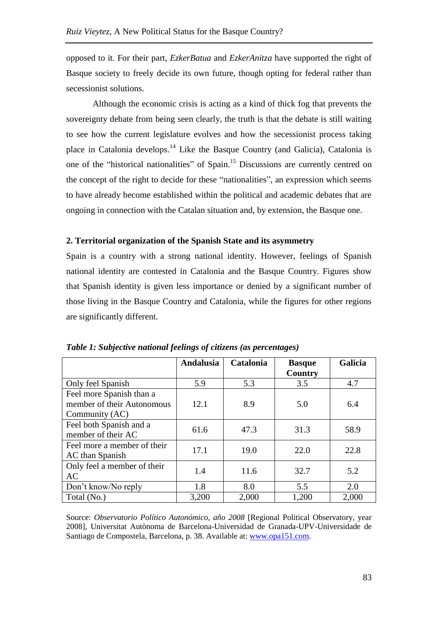opposed to it. For their part, *EzkerBatua* and *EzkerAnitza* have supported the right of Basque society to freely decide its own future, though opting for federal rather than secessionist solutions.

<span id="page-4-0"></span>Although the economic crisis is acting as a kind of thick fog that prevents the sovereignty debate from being seen clearly, the truth is that the debate is still waiting to see how the current legislature evolves and how the secessionist process taking place in Catalonia develops.<sup>14</sup> Like the Basque Country (and Galicia), Catalonia is one of the "historical nationalities" of Spain.<sup>15</sup> Discussions are currently centred on the concept of the right to decide for these "nationalities", an expression which seems to have already become established within the political and academic debates that are ongoing in connection with the Catalan situation and, by extension, the Basque one.

## **2. Territorial organization of the Spanish State and its asymmetry**

Spain is a country with a strong national identity. However, feelings of Spanish national identity are contested in Catalonia and the Basque Country. Figures show that Spanish identity is given less importance or denied by a significant number of those living in the Basque Country and Catalonia, while the figures for other regions are significantly different.

|                                                                          | <b>Andalusia</b> | Catalonia | <b>Basque</b><br>Country | Galicia |
|--------------------------------------------------------------------------|------------------|-----------|--------------------------|---------|
| Only feel Spanish                                                        | 5.9              | 5.3       | 3.5                      | 4.7     |
| Feel more Spanish than a<br>member of their Autonomous<br>Community (AC) | 12.1             | 8.9       | 5.0                      | 6.4     |
| Feel both Spanish and a<br>member of their AC                            | 61.6             | 47.3      | 31.3                     | 58.9    |
| Feel more a member of their<br>AC than Spanish                           | 17.1             | 19.0      | 22.0                     | 22.8    |
| Only feel a member of their<br><b>AC</b>                                 | 1.4              | 11.6      | 32.7                     | 5.2     |
| Don't know/No reply                                                      | 1.8              | 8.0       | 5.5                      | 2.0     |
| Total (No.)                                                              | 3,200            | 2,000     | 1,200                    | 2,000   |

*Table 1: Subjective national feelings of citizens (as percentages)*

Source: *Observatorio Político Autonómico, año 2008* [Regional Political Observatory, year 2008], Universitat Autònoma de Barcelona-Universidad de Granada-UPV-Universidade de Santiago de Compostela, Barcelona, p. 38. Available at: [www.opa151.com.](http://www.opa151.com/)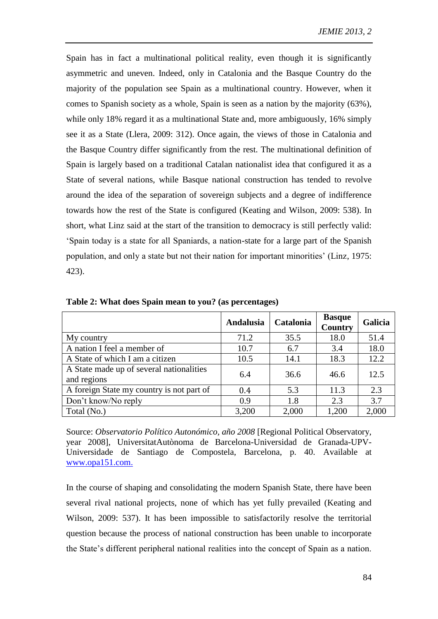Spain has in fact a multinational political reality, even though it is significantly asymmetric and uneven. Indeed, only in Catalonia and the Basque Country do the majority of the population see Spain as a multinational country. However, when it comes to Spanish society as a whole, Spain is seen as a nation by the majority (63%), while only 18% regard it as a multinational State and, more ambiguously, 16% simply see it as a State (Llera, 2009: 312). Once again, the views of those in Catalonia and the Basque Country differ significantly from the rest. The multinational definition of Spain is largely based on a traditional Catalan nationalist idea that configured it as a State of several nations, while Basque national construction has tended to revolve around the idea of the separation of sovereign subjects and a degree of indifference towards how the rest of the State is configured (Keating and Wilson, 2009: 538). In short, what Linz said at the start of the transition to democracy is still perfectly valid: 'Spain today is a state for all Spaniards, a nation-state for a large part of the Spanish population, and only a state but not their nation for important minorities' (Linz, 1975: 423).

|                                                         | Andalusia | Catalonia | <b>Basque</b><br>Country | Galicia |
|---------------------------------------------------------|-----------|-----------|--------------------------|---------|
| My country                                              | 71.2      | 35.5      | 18.0                     | 51.4    |
| A nation I feel a member of                             | 10.7      | 6.7       | 3.4                      | 18.0    |
| A State of which I am a citizen                         | 10.5      | 14.1      | 18.3                     | 12.2    |
| A State made up of several nationalities<br>and regions | 6.4       | 36.6      | 46.6                     | 12.5    |
| A foreign State my country is not part of               | 0.4       | 5.3       | 11.3                     | 2.3     |
| Don't know/No reply                                     | 0.9       | 1.8       | 2.3                      | 3.7     |
| Total (No.)                                             | 3,200     | 2,000     | 1,200                    | 2,000   |

**Table 2: What does Spain mean to you? (as percentages)**

Source: *Observatorio Político Autonómico, año 2008* [Regional Political Observatory, year 2008], UniversitatAutònoma de Barcelona-Universidad de Granada-UPV-Universidade de Santiago de Compostela, Barcelona, p. 40. Available at [www.opa151.com.](http://www.opa151.com/)

In the course of shaping and consolidating the modern Spanish State, there have been several rival national projects, none of which has yet fully prevailed (Keating and Wilson, 2009: 537). It has been impossible to satisfactorily resolve the territorial question because the process of national construction has been unable to incorporate the State's different peripheral national realities into the concept of Spain as a nation.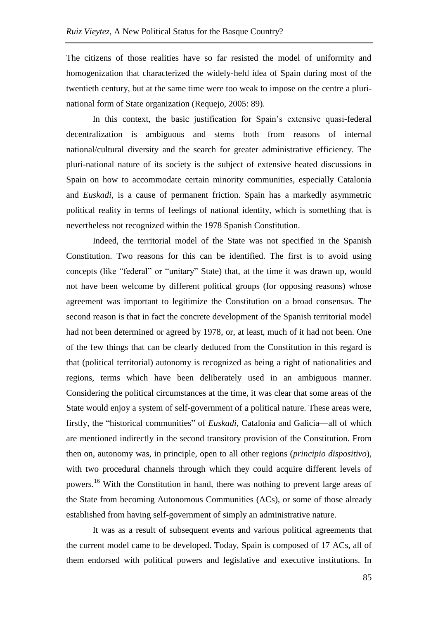The citizens of those realities have so far resisted the model of uniformity and homogenization that characterized the widely-held idea of Spain during most of the twentieth century, but at the same time were too weak to impose on the centre a plurinational form of State organization (Requejo, 2005: 89).

In this context, the basic justification for Spain's extensive quasi-federal decentralization is ambiguous and stems both from reasons of internal national/cultural diversity and the search for greater administrative efficiency. The pluri-national nature of its society is the subject of extensive heated discussions in Spain on how to accommodate certain minority communities, especially Catalonia and *Euskadi*, is a cause of permanent friction. Spain has a markedly asymmetric political reality in terms of feelings of national identity, which is something that is nevertheless not recognized within the 1978 Spanish Constitution.

Indeed, the territorial model of the State was not specified in the Spanish Constitution. Two reasons for this can be identified. The first is to avoid using concepts (like "federal" or "unitary" State) that, at the time it was drawn up, would not have been welcome by different political groups (for opposing reasons) whose agreement was important to legitimize the Constitution on a broad consensus. The second reason is that in fact the concrete development of the Spanish territorial model had not been determined or agreed by 1978, or, at least, much of it had not been. One of the few things that can be clearly deduced from the Constitution in this regard is that (political territorial) autonomy is recognized as being a right of nationalities and regions, terms which have been deliberately used in an ambiguous manner. Considering the political circumstances at the time, it was clear that some areas of the State would enjoy a system of self-government of a political nature. These areas were, firstly, the "historical communities" of *Euskadi*, Catalonia and Galicia—all of which are mentioned indirectly in the second transitory provision of the Constitution. From then on, autonomy was, in principle, open to all other regions (*principio dispositivo*), with two procedural channels through which they could acquire different levels of powers.<sup>16</sup> With the Constitution in hand, there was nothing to prevent large areas of the State from becoming Autonomous Communities (ACs), or some of those already established from having self-government of simply an administrative nature.

It was as a result of subsequent events and various political agreements that the current model came to be developed. Today, Spain is composed of 17 ACs, all of them endorsed with political powers and legislative and executive institutions. In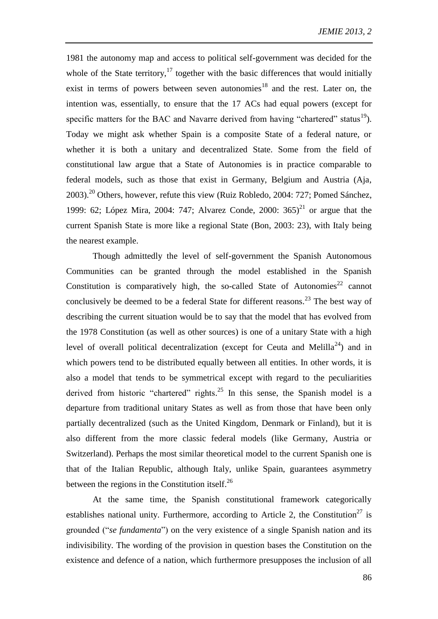<span id="page-7-1"></span><span id="page-7-0"></span>1981 the autonomy map and access to political self-government was decided for the whole of the State territory, $17$  together with the basic differences that would initially exist in terms of powers between seven autonomies<sup>18</sup> and the rest. Later on, the intention was, essentially, to ensure that the 17 ACs had equal powers (except for specific matters for the BAC and Navarre derived from having "chartered" status $^{19}$ ). Today we might ask whether Spain is a composite State of a federal nature, or whether it is both a unitary and decentralized State. Some from the field of constitutional law argue that a State of Autonomies is in practice comparable to federal models, such as those that exist in Germany, Belgium and Austria (Aja, 2003).<sup>20</sup> Others, however, refute this view (Ruiz Robledo, 2004: 727; Pomed Sánchez, 1999: 62; López Mira, 2004: 747; Alvarez Conde, 2000:  $365$ <sup>21</sup> or argue that the current Spanish State is more like a regional State (Bon, 2003: 23), with Italy being the nearest example.

Though admittedly the level of self-government the Spanish Autonomous Communities can be granted through the model established in the Spanish Constitution is comparatively high, the so-called State of Autonomies<sup>22</sup> cannot conclusively be deemed to be a federal State for different reasons.<sup>23</sup> The best way of describing the current situation would be to say that the model that has evolved from the 1978 Constitution (as well as other sources) is one of a unitary State with a high level of overall political decentralization (except for Ceuta and Melilla<sup>24</sup>) and in which powers tend to be distributed equally between all entities. In other words, it is also a model that tends to be symmetrical except with regard to the peculiarities derived from historic "chartered" rights.<sup>25</sup> In this sense, the Spanish model is a departure from traditional unitary States as well as from those that have been only partially decentralized (such as the United Kingdom, Denmark or Finland), but it is also different from the more classic federal models (like Germany, Austria or Switzerland). Perhaps the most similar theoretical model to the current Spanish one is that of the Italian Republic, although Italy, unlike Spain, guarantees asymmetry between the regions in the Constitution itself. $^{26}$ 

At the same time, the Spanish constitutional framework categorically establishes national unity. Furthermore, according to Article 2, the Constitution<sup>27</sup> is grounded ("*se fundamenta*") on the very existence of a single Spanish nation and its indivisibility. The wording of the provision in question bases the Constitution on the existence and defence of a nation, which furthermore presupposes the inclusion of all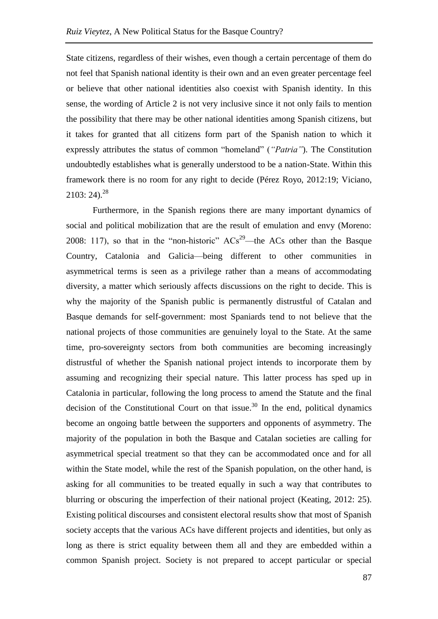State citizens, regardless of their wishes, even though a certain percentage of them do not feel that Spanish national identity is their own and an even greater percentage feel or believe that other national identities also coexist with Spanish identity. In this sense, the wording of Article 2 is not very inclusive since it not only fails to mention the possibility that there may be other national identities among Spanish citizens, but it takes for granted that all citizens form part of the Spanish nation to which it expressly attributes the status of common "homeland" (*"Patria"*). The Constitution undoubtedly establishes what is generally understood to be a nation-State. Within this framework there is no room for any right to decide (Pérez Royo, 2012:19; Viciano,  $2103: 24).^{28}$ 

<span id="page-8-0"></span>Furthermore, in the Spanish regions there are many important dynamics of social and political mobilization that are the result of emulation and envy (Moreno: 2008: 117), so that in the "non-historic"  $ACs^{29}$ —the ACs other than the Basque Country, Catalonia and Galicia—being different to other communities in asymmetrical terms is seen as a privilege rather than a means of accommodating diversity, a matter which seriously affects discussions on the right to decide. This is why the majority of the Spanish public is permanently distrustful of Catalan and Basque demands for self-government: most Spaniards tend to not believe that the national projects of those communities are genuinely loyal to the State. At the same time, pro-sovereignty sectors from both communities are becoming increasingly distrustful of whether the Spanish national project intends to incorporate them by assuming and recognizing their special nature. This latter process has sped up in Catalonia in particular, following the long process to amend the Statute and the final decision of the Constitutional Court on that issue.<sup>30</sup> In the end, political dynamics become an ongoing battle between the supporters and opponents of asymmetry. The majority of the population in both the Basque and Catalan societies are calling for asymmetrical special treatment so that they can be accommodated once and for all within the State model, while the rest of the Spanish population, on the other hand, is asking for all communities to be treated equally in such a way that contributes to blurring or obscuring the imperfection of their national project (Keating, 2012: 25). Existing political discourses and consistent electoral results show that most of Spanish society accepts that the various ACs have different projects and identities, but only as long as there is strict equality between them all and they are embedded within a common Spanish project. Society is not prepared to accept particular or special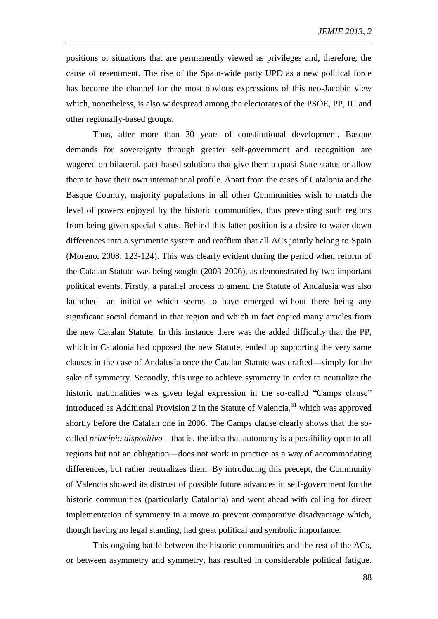positions or situations that are permanently viewed as privileges and, therefore, the cause of resentment. The rise of the Spain-wide party UPD as a new political force has become the channel for the most obvious expressions of this neo-Jacobin view which, nonetheless, is also widespread among the electorates of the PSOE, PP, IU and other regionally-based groups.

Thus, after more than 30 years of constitutional development, Basque demands for sovereignty through greater self-government and recognition are wagered on bilateral, pact-based solutions that give them a quasi-State status or allow them to have their own international profile. Apart from the cases of Catalonia and the Basque Country, majority populations in all other Communities wish to match the level of powers enjoyed by the historic communities, thus preventing such regions from being given special status. Behind this latter position is a desire to water down differences into a symmetric system and reaffirm that all ACs jointly belong to Spain (Moreno, 2008: 123-124). This was clearly evident during the period when reform of the Catalan Statute was being sought (2003-2006), as demonstrated by two important political events. Firstly, a parallel process to amend the Statute of Andalusia was also launched—an initiative which seems to have emerged without there being any significant social demand in that region and which in fact copied many articles from the new Catalan Statute. In this instance there was the added difficulty that the PP, which in Catalonia had opposed the new Statute, ended up supporting the very same clauses in the case of Andalusia once the Catalan Statute was drafted—simply for the sake of symmetry. Secondly, this urge to achieve symmetry in order to neutralize the historic nationalities was given legal expression in the so-called "Camps clause" introduced as Additional Provision 2 in the Statute of Valencia,  $31$  which was approved shortly before the Catalan one in 2006. The Camps clause clearly shows that the socalled *principio dispositivo*—that is, the idea that autonomy is a possibility open to all regions but not an obligation—does not work in practice as a way of accommodating differences, but rather neutralizes them. By introducing this precept, the Community of Valencia showed its distrust of possible future advances in self-government for the historic communities (particularly Catalonia) and went ahead with calling for direct implementation of symmetry in a move to prevent comparative disadvantage which, though having no legal standing, had great political and symbolic importance.

This ongoing battle between the historic communities and the rest of the ACs, or between asymmetry and symmetry, has resulted in considerable political fatigue.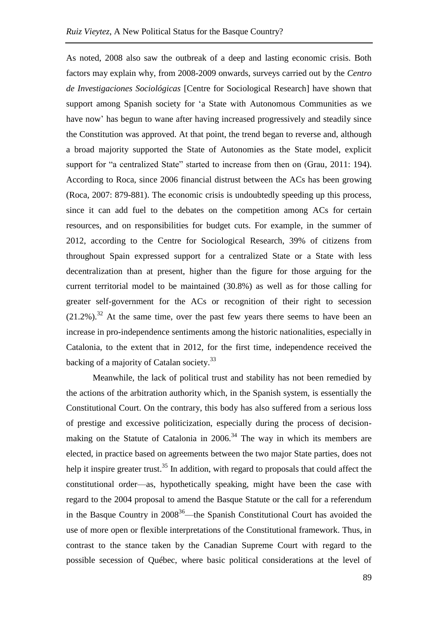As noted, 2008 also saw the outbreak of a deep and lasting economic crisis. Both factors may explain why, from 2008-2009 onwards, surveys carried out by the *Centro de Investigaciones Sociológicas* [Centre for Sociological Research] have shown that support among Spanish society for 'a State with Autonomous Communities as we have now' has begun to wane after having increased progressively and steadily since the Constitution was approved. At that point, the trend began to reverse and, although a broad majority supported the State of Autonomies as the State model, explicit support for "a centralized State" started to increase from then on (Grau, 2011: 194). According to Roca, since 2006 financial distrust between the ACs has been growing (Roca, 2007: 879-881). The economic crisis is undoubtedly speeding up this process, since it can add fuel to the debates on the competition among ACs for certain resources, and on responsibilities for budget cuts. For example, in the summer of 2012, according to the Centre for Sociological Research, 39% of citizens from throughout Spain expressed support for a centralized State or a State with less decentralization than at present, higher than the figure for those arguing for the current territorial model to be maintained (30.8%) as well as for those calling for greater self-government for the ACs or recognition of their right to secession  $(21.2\%)$ <sup>32</sup> At the same time, over the past few years there seems to have been an increase in pro-independence sentiments among the historic nationalities, especially in Catalonia, to the extent that in 2012, for the first time, independence received the backing of a majority of Catalan society.<sup>33</sup>

Meanwhile, the lack of political trust and stability has not been remedied by the actions of the arbitration authority which, in the Spanish system, is essentially the Constitutional Court. On the contrary, this body has also suffered from a serious loss of prestige and excessive politicization, especially during the process of decisionmaking on the Statute of Catalonia in  $2006<sup>34</sup>$  The way in which its members are elected, in practice based on agreements between the two major State parties, does not help it inspire greater trust.<sup>35</sup> In addition, with regard to proposals that could affect the constitutional order—as, hypothetically speaking, might have been the case with regard to the 2004 proposal to amend the Basque Statute or the call for a referendum in the Basque Country in 2008<sup>36</sup>—the Spanish Constitutional Court has avoided the use of more open or flexible interpretations of the Constitutional framework. Thus, in contrast to the stance taken by the Canadian Supreme Court with regard to the possible secession of Québec, where basic political considerations at the level of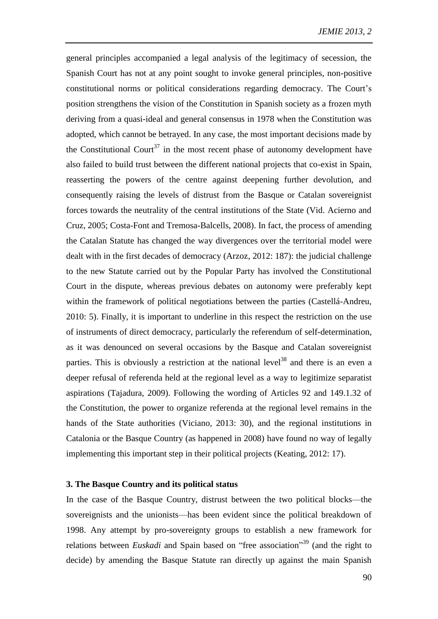general principles accompanied a legal analysis of the legitimacy of secession, the Spanish Court has not at any point sought to invoke general principles, non-positive constitutional norms or political considerations regarding democracy. The Court's position strengthens the vision of the Constitution in Spanish society as a frozen myth deriving from a quasi-ideal and general consensus in 1978 when the Constitution was adopted, which cannot be betrayed. In any case, the most important decisions made by the Constitutional Court<sup>37</sup> in the most recent phase of autonomy development have also failed to build trust between the different national projects that co-exist in Spain, reasserting the powers of the centre against deepening further devolution, and consequently raising the levels of distrust from the Basque or Catalan sovereignist forces towards the neutrality of the central institutions of the State (Vid. Acierno and Cruz, 2005; Costa-Font and Tremosa-Balcells, 2008). In fact, the process of amending the Catalan Statute has changed the way divergences over the territorial model were dealt with in the first decades of democracy (Arzoz, 2012: 187): the judicial challenge to the new Statute carried out by the Popular Party has involved the Constitutional Court in the dispute, whereas previous debates on autonomy were preferably kept within the framework of political negotiations between the parties (Castellá-Andreu, 2010: 5). Finally, it is important to underline in this respect the restriction on the use of instruments of direct democracy, particularly the referendum of self-determination, as it was denounced on several occasions by the Basque and Catalan sovereignist parties. This is obviously a restriction at the national level<sup>38</sup> and there is an even a deeper refusal of referenda held at the regional level as a way to legitimize separatist aspirations (Tajadura, 2009). Following the wording of Articles 92 and 149.1.32 of the Constitution, the power to organize referenda at the regional level remains in the hands of the State authorities (Viciano, 2013: 30), and the regional institutions in Catalonia or the Basque Country (as happened in 2008) have found no way of legally implementing this important step in their political projects (Keating, 2012: 17).

## **3. The Basque Country and its political status**

In the case of the Basque Country, distrust between the two political blocks—the sovereignists and the unionists—has been evident since the political breakdown of 1998. Any attempt by pro-sovereignty groups to establish a new framework for relations between *Euskadi* and Spain based on "free association"<sup>39</sup> (and the right to decide) by amending the Basque Statute ran directly up against the main Spanish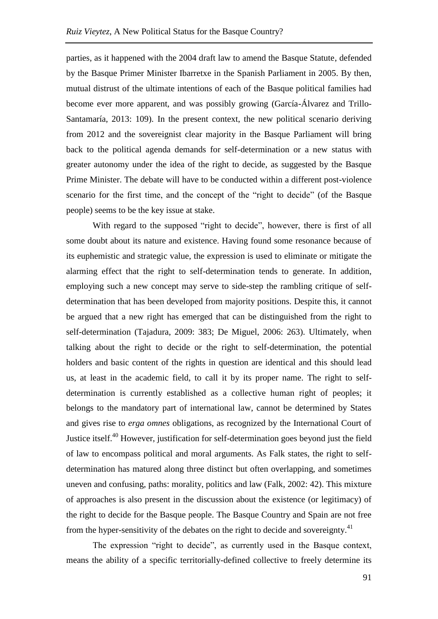parties, as it happened with the 2004 draft law to amend the Basque Statute, defended by the Basque Primer Minister Ibarretxe in the Spanish Parliament in 2005. By then, mutual distrust of the ultimate intentions of each of the Basque political families had become ever more apparent, and was possibly growing (García-Álvarez and Trillo-Santamaría, 2013: 109). In the present context, the new political scenario deriving from 2012 and the sovereignist clear majority in the Basque Parliament will bring back to the political agenda demands for self-determination or a new status with greater autonomy under the idea of the right to decide, as suggested by the Basque Prime Minister. The debate will have to be conducted within a different post-violence scenario for the first time, and the concept of the "right to decide" (of the Basque people) seems to be the key issue at stake.

With regard to the supposed "right to decide", however, there is first of all some doubt about its nature and existence. Having found some resonance because of its euphemistic and strategic value, the expression is used to eliminate or mitigate the alarming effect that the right to self-determination tends to generate. In addition, employing such a new concept may serve to side-step the rambling critique of selfdetermination that has been developed from majority positions. Despite this, it cannot be argued that a new right has emerged that can be distinguished from the right to self-determination (Tajadura, 2009: 383; De Miguel, 2006: 263). Ultimately, when talking about the right to decide or the right to self-determination, the potential holders and basic content of the rights in question are identical and this should lead us, at least in the academic field, to call it by its proper name. The right to selfdetermination is currently established as a collective human right of peoples; it belongs to the mandatory part of international law, cannot be determined by States and gives rise to *erga omnes* obligations, as recognized by the International Court of Justice itself.<sup>40</sup> However, justification for self-determination goes beyond just the field of law to encompass political and moral arguments. As Falk states, the right to selfdetermination has matured along three distinct but often overlapping, and sometimes uneven and confusing, paths: morality, politics and law (Falk, 2002: 42). This mixture of approaches is also present in the discussion about the existence (or legitimacy) of the right to decide for the Basque people. The Basque Country and Spain are not free from the hyper-sensitivity of the debates on the right to decide and sovereignty.<sup>41</sup>

The expression "right to decide", as currently used in the Basque context, means the ability of a specific territorially-defined collective to freely determine its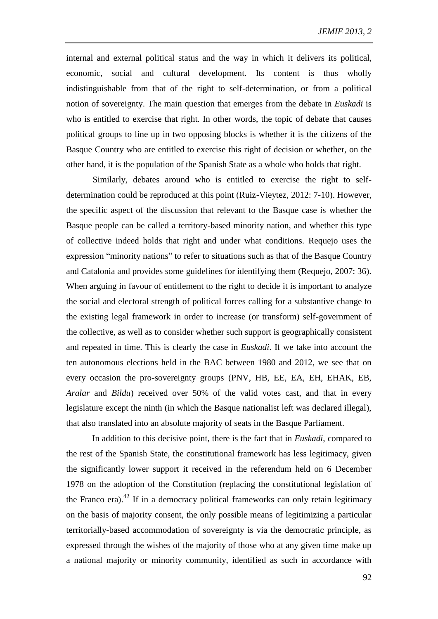internal and external political status and the way in which it delivers its political, economic, social and cultural development. Its content is thus wholly indistinguishable from that of the right to self-determination, or from a political notion of sovereignty. The main question that emerges from the debate in *Euskadi* is who is entitled to exercise that right. In other words, the topic of debate that causes political groups to line up in two opposing blocks is whether it is the citizens of the Basque Country who are entitled to exercise this right of decision or whether, on the other hand, it is the population of the Spanish State as a whole who holds that right.

Similarly, debates around who is entitled to exercise the right to selfdetermination could be reproduced at this point (Ruiz-Vieytez, 2012: 7-10). However, the specific aspect of the discussion that relevant to the Basque case is whether the Basque people can be called a territory-based minority nation, and whether this type of collective indeed holds that right and under what conditions. Requejo uses the expression "minority nations" to refer to situations such as that of the Basque Country and Catalonia and provides some guidelines for identifying them (Requejo, 2007: 36). When arguing in favour of entitlement to the right to decide it is important to analyze the social and electoral strength of political forces calling for a substantive change to the existing legal framework in order to increase (or transform) self-government of the collective, as well as to consider whether such support is geographically consistent and repeated in time. This is clearly the case in *Euskadi*. If we take into account the ten autonomous elections held in the BAC between 1980 and 2012, we see that on every occasion the pro-sovereignty groups (PNV, HB, EE, EA, EH, EHAK, EB, *Aralar* and *Bildu*) received over 50% of the valid votes cast, and that in every legislature except the ninth (in which the Basque nationalist left was declared illegal), that also translated into an absolute majority of seats in the Basque Parliament.

In addition to this decisive point, there is the fact that in *Euskadi*, compared to the rest of the Spanish State, the constitutional framework has less legitimacy, given the significantly lower support it received in the referendum held on 6 December 1978 on the adoption of the Constitution (replacing the constitutional legislation of the Franco era). $^{42}$  If in a democracy political frameworks can only retain legitimacy on the basis of majority consent, the only possible means of legitimizing a particular territorially-based accommodation of sovereignty is via the democratic principle, as expressed through the wishes of the majority of those who at any given time make up a national majority or minority community, identified as such in accordance with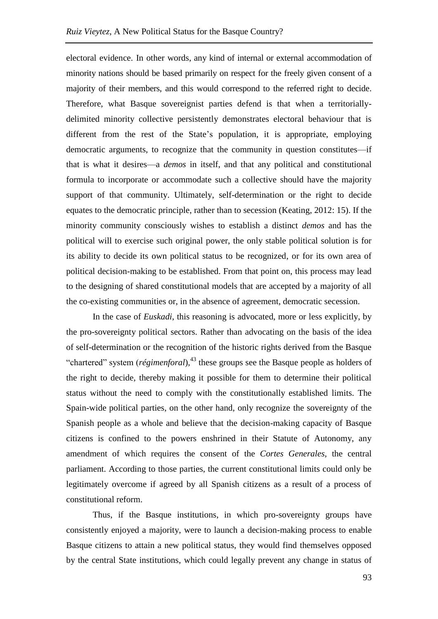electoral evidence. In other words, any kind of internal or external accommodation of minority nations should be based primarily on respect for the freely given consent of a majority of their members, and this would correspond to the referred right to decide. Therefore, what Basque sovereignist parties defend is that when a territoriallydelimited minority collective persistently demonstrates electoral behaviour that is different from the rest of the State's population, it is appropriate, employing democratic arguments, to recognize that the community in question constitutes—if that is what it desires—a *demos* in itself, and that any political and constitutional formula to incorporate or accommodate such a collective should have the majority support of that community. Ultimately, self-determination or the right to decide equates to the democratic principle, rather than to secession (Keating, 2012: 15). If the minority community consciously wishes to establish a distinct *demos* and has the political will to exercise such original power, the only stable political solution is for its ability to decide its own political status to be recognized, or for its own area of political decision-making to be established. From that point on, this process may lead to the designing of shared constitutional models that are accepted by a majority of all the co-existing communities or, in the absence of agreement, democratic secession.

In the case of *Euskadi*, this reasoning is advocated, more or less explicitly, by the pro-sovereignty political sectors. Rather than advocating on the basis of the idea of self-determination or the recognition of the historic rights derived from the Basque "chartered" system (*régimenforal*), <sup>43</sup> these groups see the Basque people as holders of the right to decide, thereby making it possible for them to determine their political status without the need to comply with the constitutionally established limits. The Spain-wide political parties, on the other hand, only recognize the sovereignty of the Spanish people as a whole and believe that the decision-making capacity of Basque citizens is confined to the powers enshrined in their Statute of Autonomy, any amendment of which requires the consent of the *Cortes Generales*, the central parliament. According to those parties, the current constitutional limits could only be legitimately overcome if agreed by all Spanish citizens as a result of a process of constitutional reform.

Thus, if the Basque institutions, in which pro-sovereignty groups have consistently enjoyed a majority, were to launch a decision-making process to enable Basque citizens to attain a new political status, they would find themselves opposed by the central State institutions, which could legally prevent any change in status of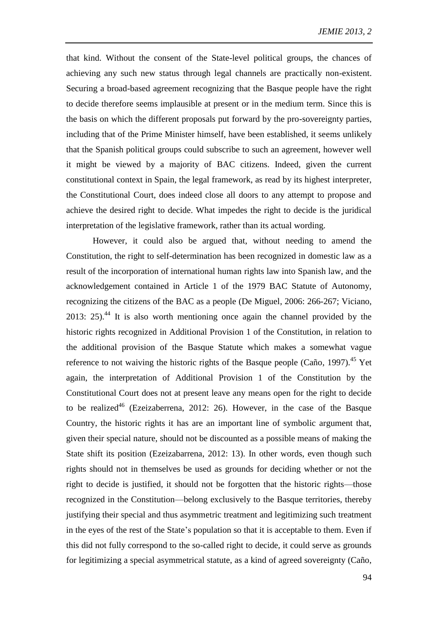that kind. Without the consent of the State-level political groups, the chances of achieving any such new status through legal channels are practically non-existent. Securing a broad-based agreement recognizing that the Basque people have the right to decide therefore seems implausible at present or in the medium term. Since this is the basis on which the different proposals put forward by the pro-sovereignty parties, including that of the Prime Minister himself, have been established, it seems unlikely that the Spanish political groups could subscribe to such an agreement, however well it might be viewed by a majority of BAC citizens. Indeed, given the current constitutional context in Spain, the legal framework, as read by its highest interpreter, the Constitutional Court, does indeed close all doors to any attempt to propose and achieve the desired right to decide. What impedes the right to decide is the juridical interpretation of the legislative framework, rather than its actual wording.

However, it could also be argued that, without needing to amend the Constitution, the right to self-determination has been recognized in domestic law as a result of the incorporation of international human rights law into Spanish law, and the acknowledgement contained in Article 1 of the 1979 BAC Statute of Autonomy, recognizing the citizens of the BAC as a people (De Miguel, 2006: 266-267; Viciano, 2013: 25). $44$  It is also worth mentioning once again the channel provided by the historic rights recognized in Additional Provision 1 of the Constitution, in relation to the additional provision of the Basque Statute which makes a somewhat vague reference to not waiving the historic rights of the Basque people (Caño, 1997).<sup>45</sup> Yet again, the interpretation of Additional Provision 1 of the Constitution by the Constitutional Court does not at present leave any means open for the right to decide to be realized<sup>46</sup> (Ezeizaberrena, 2012: 26). However, in the case of the Basque Country, the historic rights it has are an important line of symbolic argument that, given their special nature, should not be discounted as a possible means of making the State shift its position (Ezeizabarrena, 2012: 13). In other words, even though such rights should not in themselves be used as grounds for deciding whether or not the right to decide is justified, it should not be forgotten that the historic rights—those recognized in the Constitution—belong exclusively to the Basque territories, thereby justifying their special and thus asymmetric treatment and legitimizing such treatment in the eyes of the rest of the State's population so that it is acceptable to them. Even if this did not fully correspond to the so-called right to decide, it could serve as grounds for legitimizing a special asymmetrical statute, as a kind of agreed sovereignty (Caño,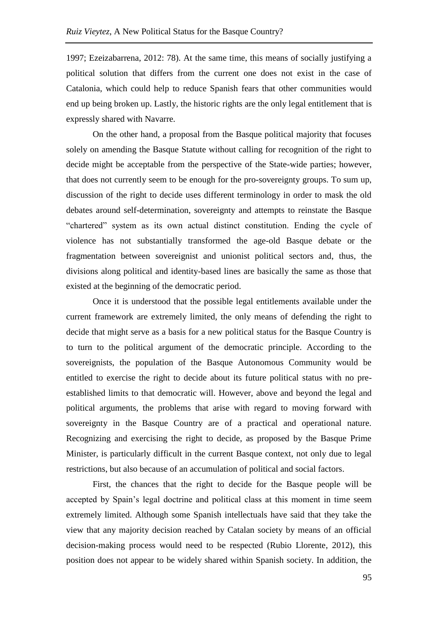1997; Ezeizabarrena, 2012: 78). At the same time, this means of socially justifying a political solution that differs from the current one does not exist in the case of Catalonia, which could help to reduce Spanish fears that other communities would end up being broken up. Lastly, the historic rights are the only legal entitlement that is expressly shared with Navarre.

On the other hand, a proposal from the Basque political majority that focuses solely on amending the Basque Statute without calling for recognition of the right to decide might be acceptable from the perspective of the State-wide parties; however, that does not currently seem to be enough for the pro-sovereignty groups. To sum up, discussion of the right to decide uses different terminology in order to mask the old debates around self-determination, sovereignty and attempts to reinstate the Basque "chartered" system as its own actual distinct constitution. Ending the cycle of violence has not substantially transformed the age-old Basque debate or the fragmentation between sovereignist and unionist political sectors and, thus, the divisions along political and identity-based lines are basically the same as those that existed at the beginning of the democratic period.

Once it is understood that the possible legal entitlements available under the current framework are extremely limited, the only means of defending the right to decide that might serve as a basis for a new political status for the Basque Country is to turn to the political argument of the democratic principle. According to the sovereignists, the population of the Basque Autonomous Community would be entitled to exercise the right to decide about its future political status with no preestablished limits to that democratic will. However, above and beyond the legal and political arguments, the problems that arise with regard to moving forward with sovereignty in the Basque Country are of a practical and operational nature. Recognizing and exercising the right to decide, as proposed by the Basque Prime Minister, is particularly difficult in the current Basque context, not only due to legal restrictions, but also because of an accumulation of political and social factors.

First, the chances that the right to decide for the Basque people will be accepted by Spain's legal doctrine and political class at this moment in time seem extremely limited. Although some Spanish intellectuals have said that they take the view that any majority decision reached by Catalan society by means of an official decision-making process would need to be respected (Rubio Llorente, 2012), this position does not appear to be widely shared within Spanish society. In addition, the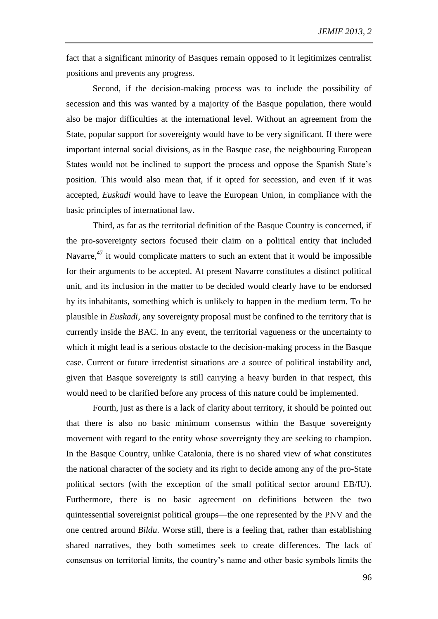fact that a significant minority of Basques remain opposed to it legitimizes centralist positions and prevents any progress.

Second, if the decision-making process was to include the possibility of secession and this was wanted by a majority of the Basque population, there would also be major difficulties at the international level. Without an agreement from the State, popular support for sovereignty would have to be very significant. If there were important internal social divisions, as in the Basque case, the neighbouring European States would not be inclined to support the process and oppose the Spanish State's position. This would also mean that, if it opted for secession, and even if it was accepted, *Euskadi* would have to leave the European Union, in compliance with the basic principles of international law.

Third, as far as the territorial definition of the Basque Country is concerned, if the pro-sovereignty sectors focused their claim on a political entity that included Navarre,<sup>47</sup> it would complicate matters to such an extent that it would be impossible for their arguments to be accepted. At present Navarre constitutes a distinct political unit, and its inclusion in the matter to be decided would clearly have to be endorsed by its inhabitants, something which is unlikely to happen in the medium term. To be plausible in *Euskadi*, any sovereignty proposal must be confined to the territory that is currently inside the BAC. In any event, the territorial vagueness or the uncertainty to which it might lead is a serious obstacle to the decision-making process in the Basque case. Current or future irredentist situations are a source of political instability and, given that Basque sovereignty is still carrying a heavy burden in that respect, this would need to be clarified before any process of this nature could be implemented.

Fourth, just as there is a lack of clarity about territory, it should be pointed out that there is also no basic minimum consensus within the Basque sovereignty movement with regard to the entity whose sovereignty they are seeking to champion. In the Basque Country, unlike Catalonia, there is no shared view of what constitutes the national character of the society and its right to decide among any of the pro-State political sectors (with the exception of the small political sector around EB/IU). Furthermore, there is no basic agreement on definitions between the two quintessential sovereignist political groups—the one represented by the PNV and the one centred around *Bildu*. Worse still, there is a feeling that, rather than establishing shared narratives, they both sometimes seek to create differences. The lack of consensus on territorial limits, the country's name and other basic symbols limits the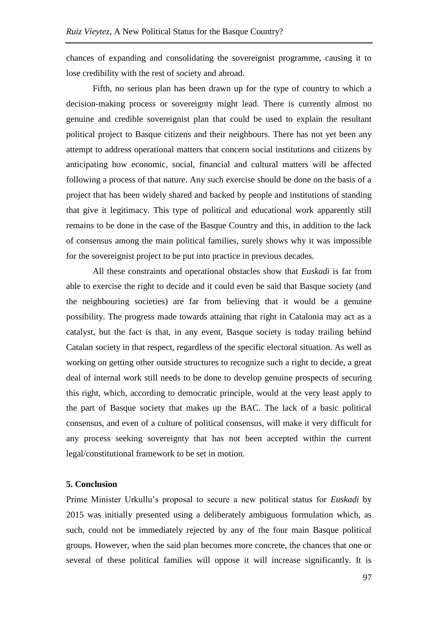chances of expanding and consolidating the sovereignist programme, causing it to lose credibility with the rest of society and abroad.

Fifth, no serious plan has been drawn up for the type of country to which a decision-making process or sovereignty might lead. There is currently almost no genuine and credible sovereignist plan that could be used to explain the resultant political project to Basque citizens and their neighbours. There has not yet been any attempt to address operational matters that concern social institutions and citizens by anticipating how economic, social, financial and cultural matters will be affected following a process of that nature. Any such exercise should be done on the basis of a project that has been widely shared and backed by people and institutions of standing that give it legitimacy. This type of political and educational work apparently still remains to be done in the case of the Basque Country and this, in addition to the lack of consensus among the main political families, surely shows why it was impossible for the sovereignist project to be put into practice in previous decades.

All these constraints and operational obstacles show that *Euskadi* is far from able to exercise the right to decide and it could even be said that Basque society (and the neighbouring societies) are far from believing that it would be a genuine possibility. The progress made towards attaining that right in Catalonia may act as a catalyst, but the fact is that, in any event, Basque society is today trailing behind Catalan society in that respect, regardless of the specific electoral situation. As well as working on getting other outside structures to recognize such a right to decide, a great deal of internal work still needs to be done to develop genuine prospects of securing this right, which, according to democratic principle, would at the very least apply to the part of Basque society that makes up the BAC. The lack of a basic political consensus, and even of a culture of political consensus, will make it very difficult for any process seeking sovereignty that has not been accepted within the current legal/constitutional framework to be set in motion.

## **5. Conclusion**

Prime Minister Urkullu's proposal to secure a new political status for *Euskadi* by 2015 was initially presented using a deliberately ambiguous formulation which, as such, could not be immediately rejected by any of the four main Basque political groups. However, when the said plan becomes more concrete, the chances that one or several of these political families will oppose it will increase significantly. It is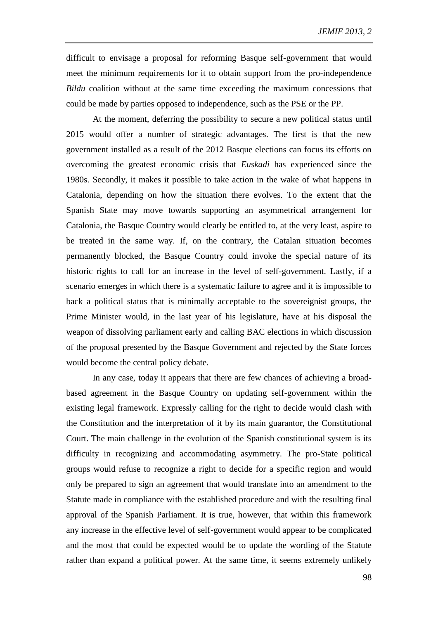difficult to envisage a proposal for reforming Basque self-government that would meet the minimum requirements for it to obtain support from the pro-independence *Bildu* coalition without at the same time exceeding the maximum concessions that could be made by parties opposed to independence, such as the PSE or the PP.

At the moment, deferring the possibility to secure a new political status until 2015 would offer a number of strategic advantages. The first is that the new government installed as a result of the 2012 Basque elections can focus its efforts on overcoming the greatest economic crisis that *Euskadi* has experienced since the 1980s. Secondly, it makes it possible to take action in the wake of what happens in Catalonia, depending on how the situation there evolves. To the extent that the Spanish State may move towards supporting an asymmetrical arrangement for Catalonia, the Basque Country would clearly be entitled to, at the very least, aspire to be treated in the same way. If, on the contrary, the Catalan situation becomes permanently blocked, the Basque Country could invoke the special nature of its historic rights to call for an increase in the level of self-government. Lastly, if a scenario emerges in which there is a systematic failure to agree and it is impossible to back a political status that is minimally acceptable to the sovereignist groups, the Prime Minister would, in the last year of his legislature, have at his disposal the weapon of dissolving parliament early and calling BAC elections in which discussion of the proposal presented by the Basque Government and rejected by the State forces would become the central policy debate.

In any case, today it appears that there are few chances of achieving a broadbased agreement in the Basque Country on updating self-government within the existing legal framework. Expressly calling for the right to decide would clash with the Constitution and the interpretation of it by its main guarantor, the Constitutional Court. The main challenge in the evolution of the Spanish constitutional system is its difficulty in recognizing and accommodating asymmetry. The pro-State political groups would refuse to recognize a right to decide for a specific region and would only be prepared to sign an agreement that would translate into an amendment to the Statute made in compliance with the established procedure and with the resulting final approval of the Spanish Parliament. It is true, however, that within this framework any increase in the effective level of self-government would appear to be complicated and the most that could be expected would be to update the wording of the Statute rather than expand a political power. At the same time, it seems extremely unlikely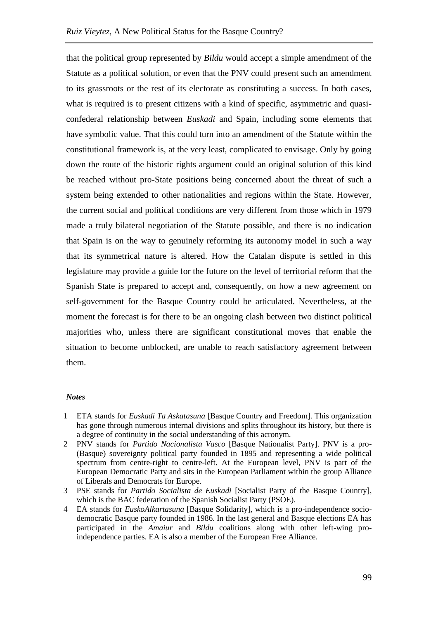that the political group represented by *Bildu* would accept a simple amendment of the Statute as a political solution, or even that the PNV could present such an amendment to its grassroots or the rest of its electorate as constituting a success. In both cases, what is required is to present citizens with a kind of specific, asymmetric and quasiconfederal relationship between *Euskadi* and Spain, including some elements that have symbolic value. That this could turn into an amendment of the Statute within the constitutional framework is, at the very least, complicated to envisage. Only by going down the route of the historic rights argument could an original solution of this kind be reached without pro-State positions being concerned about the threat of such a system being extended to other nationalities and regions within the State. However, the current social and political conditions are very different from those which in 1979 made a truly bilateral negotiation of the Statute possible, and there is no indication that Spain is on the way to genuinely reforming its autonomy model in such a way that its symmetrical nature is altered. How the Catalan dispute is settled in this legislature may provide a guide for the future on the level of territorial reform that the Spanish State is prepared to accept and, consequently, on how a new agreement on self-government for the Basque Country could be articulated. Nevertheless, at the moment the forecast is for there to be an ongoing clash between two distinct political majorities who, unless there are significant constitutional moves that enable the situation to become unblocked, are unable to reach satisfactory agreement between them.

#### *Notes*

- 1 ETA stands for *Euskadi Ta Askatasuna* [Basque Country and Freedom]. This organization has gone through numerous internal divisions and splits throughout its history, but there is a degree of continuity in the social understanding of this acronym.
- 2 PNV stands for *Partido Nacionalista Vasco* [Basque Nationalist Party]. PNV is a pro- (Basque) sovereignty political party founded in 1895 and representing a wide political spectrum from centre-right to centre-left. At the European level, PNV is part of the European Democratic Party and sits in the European Parliament within the group Alliance of Liberals and Democrats for Europe.
- 3 PSE stands for *Partido Socialista de Euskadi* [Socialist Party of the Basque Country], which is the BAC federation of the Spanish Socialist Party (PSOE).
- 4 EA stands for *EuskoAlkartasuna* [Basque Solidarity], which is a pro-independence sociodemocratic Basque party founded in 1986. In the last general and Basque elections EA has participated in the *Amaiur* and *Bildu* coalitions along with other left-wing proindependence parties. EA is also a member of the European Free Alliance.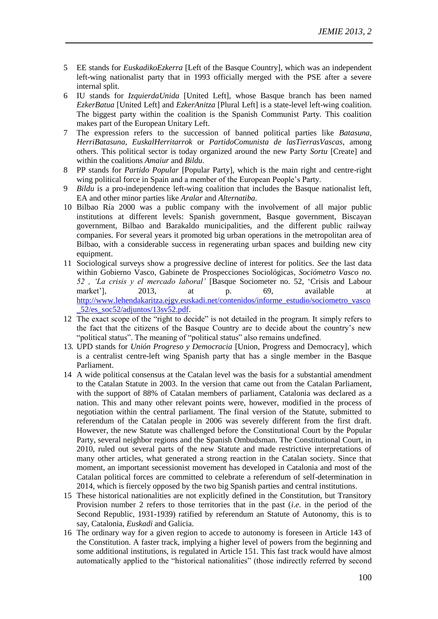- 5 EE stands for *EuskadikoEzkerra* [Left of the Basque Country], which was an independent left-wing nationalist party that in 1993 officially merged with the PSE after a severe internal split.
- 6 IU stands for *IzquierdaUnida* [United Left], whose Basque branch has been named *EzkerBatua* [United Left] and *EzkerAnitza* [Plural Left] is a state-level left-wing coalition. The biggest party within the coalition is the Spanish Communist Party. This coalition makes part of the European Unitary Left.
- 7 The expression refers to the succession of banned political parties like *Batasuna, HerriBatasuna, EuskalHerritarrok* or *PartidoComunista de lasTierrasVascas*, among others. This political sector is today organized around the new Party *Sortu* [Create] and within the coalitions *Amaiur* and *Bildu*.
- 8 PP stands for *Partido Popular* [Popular Party], which is the main right and centre-right wing political force in Spain and a member of the European People's Party.
- 9 *Bildu* is a pro-independence left-wing coalition that includes the Basque nationalist left, EA and other minor parties like *Aralar* and *Alternatiba*.
- 10 Bilbao Ría 2000 was a public company with the involvement of all major public institutions at different levels: Spanish government, Basque government, Biscayan government, Bilbao and Barakaldo municipalities, and the different public railway companies. For several years it promoted big urban operations in the metropolitan area of Bilbao, with a considerable success in regenerating urban spaces and building new city equipment.
- 11 Sociological surveys show a progressive decline of interest for politics. *See* the last data within Gobierno Vasco, Gabinete de Prospecciones Sociológicas*, Sociómetro Vasco no. 52 , 'La crisis y el mercado laboral'* [Basque Sociometer no. 52, 'Crisis and Labour market'], 2013, at p. 69, available at [http://www.lehendakaritza.ejgv.euskadi.net/contenidos/informe\\_estudio/sociometro\\_vasco](http://www.lehendakaritza.ejgv.euskadi.net/contenidos/informe_estudio/sociometro_vasco_52/es_soc52/adjuntos/13sv52.pdf) [\\_52/es\\_soc52/adjuntos/13sv52.pdf.](http://www.lehendakaritza.ejgv.euskadi.net/contenidos/informe_estudio/sociometro_vasco_52/es_soc52/adjuntos/13sv52.pdf)
- 12 The exact scope of the "right to decide" is not detailed in the program. It simply refers to the fact that the citizens of the Basque Country are to decide about the country's new "political status". The meaning of "political status" also remains undefined.
- 13*.* UPD stands for *Unión Progreso y Democracia* [Union, Progress and Democracy], which is a centralist centre-left wing Spanish party that has a single member in the Basque Parliament.
- 14 A wide political consensus at the Catalan level was the basis for a substantial amendment to the Catalan Statute in 2003. In the version that came out from the Catalan Parliament, with the support of 88% of Catalan members of parliament, Catalonia was declared as a nation. This and many other relevant points were, however, modified in the process of negotiation within the central parliament. The final version of the Statute, submitted to referendum of the Catalan people in 2006 was severely different from the first draft. However, the new Statute was challenged before the Constitutional Court by the Popular Party, several neighbor regions and the Spanish Ombudsman. The Constitutional Court, in 2010, ruled out several parts of the new Statute and made restrictive interpretations of many other articles, what generated a strong reaction in the Catalan society. Since that moment, an important secessionist movement has developed in Catalonia and most of the Catalan political forces are committed to celebrate a referendum of self-determination in 2014, which is fiercely opposed by the two big Spanish parties and central institutions.
- 15 These historical nationalities are not explicitly defined in the Constitution, but Transitory Provision number 2 refers to those territories that in the past (*i.e.* in the period of the Second Republic, 1931-1939) ratified by referendum an Statute of Autonomy, this is to say, Catalonia, *Euskadi* and Galicia.
- 16 The ordinary way for a given region to accede to autonomy is foreseen in Article 143 of the Constitution. A faster track, implying a higher level of powers from the beginning and some additional institutions, is regulated in Article 151. This fast track would have almost automatically applied to the "historical nationalities" (those indirectly referred by second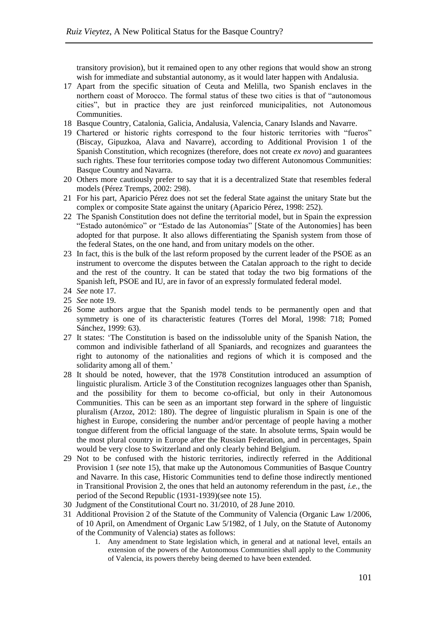transitory provision), but it remained open to any other regions that would show an strong wish for immediate and substantial autonomy, as it would later happen with Andalusia.

- 17 Apart from the specific situation of Ceuta and Melilla, two Spanish enclaves in the northern coast of Morocco. The formal status of these two cities is that of "autonomous cities", but in practice they are just reinforced municipalities, not Autonomous Communities.
- 18 Basque Country, Catalonia, Galicia, Andalusia, Valencia, Canary Islands and Navarre.
- 19 Chartered or historic rights correspond to the four historic territories with "fueros" (Biscay, Gipuzkoa, Alava and Navarre), according to Additional Provision 1 of the Spanish Constitution, which recognizes (therefore, does not create *ex novo*) and guarantees such rights. These four territories compose today two different Autonomous Communities: Basque Country and Navarra.
- 20 Others more cautiously prefer to say that it is a decentralized State that resembles federal models (Pérez Tremps, 2002: 298).
- 21 For his part, Aparicio Pérez does not set the federal State against the unitary State but the complex or composite State against the unitary (Aparicio Pérez, 1998: 252).
- 22 The Spanish Constitution does not define the territorial model, but in Spain the expression "Estado autonómico" or "Estado de las Autonomías" [State of the Autonomies] has been adopted for that purpose. It also allows differentiating the Spanish system from those of the federal States, on the one hand, and from unitary models on the other.
- 23 In fact, this is the bulk of the last reform proposed by the current leader of the PSOE as an instrument to overcome the disputes between the Catalan approach to the right to decide and the rest of the country. It can be stated that today the two big formations of the Spanish left, PSOE and IU, are in favor of an expressly formulated federal model.
- 24 *See* note [17.](#page-7-0)
- 25 *See* note [19.](#page-7-1)
- 26 Some authors argue that the Spanish model tends to be permanently open and that symmetry is one of its characteristic features (Torres del Moral, 1998: 718; Pomed Sánchez, 1999: 63).
- 27 It states: 'The Constitution is based on the indissoluble unity of the Spanish Nation, the common and indivisible fatherland of all Spaniards, and recognizes and guarantees the right to autonomy of the nationalities and regions of which it is composed and the solidarity among all of them.'
- 28 It should be noted, however, that the 1978 Constitution introduced an assumption of linguistic pluralism. Article 3 of the Constitution recognizes languages other than Spanish, and the possibility for them to become co-official, but only in their Autonomous Communities. This can be seen as an important step forward in the sphere of linguistic pluralism (Arzoz, 2012: 180). The degree of linguistic pluralism in Spain is one of the highest in Europe, considering the number and/or percentage of people having a mother tongue different from the official language of the state. In absolute terms, Spain would be the most plural country in Europe after the Russian Federation, and in percentages, Spain would be very close to Switzerland and only clearly behind Belgium.
- 29 Not to be confused with the historic territories, indirectly referred in the Additional Provision 1 (*see* note [15\)](#page-4-0), that make up the Autonomous Communities of Basque Country and Navarre. In this case, Historic Communities tend to define those indirectly mentioned in Transitional Provision 2, the ones that held an autonomy referendum in the past, *i.e.*, the period of the Second Republic (1931-1939)(see note 15).
- 30 Judgment of the Constitutional Court no. 31/2010, of 28 June 2010.
- 31 Additional Provision 2 of the Statute of the Community of Valencia (Organic Law 1/2006, of 10 April, on Amendment of Organic Law 5/1982, of 1 July, on the Statute of Autonomy of the Community of Valencia) states as follows:
	- 1. Any amendment to State legislation which, in general and at national level, entails an extension of the powers of the Autonomous Communities shall apply to the Community of Valencia, its powers thereby being deemed to have been extended.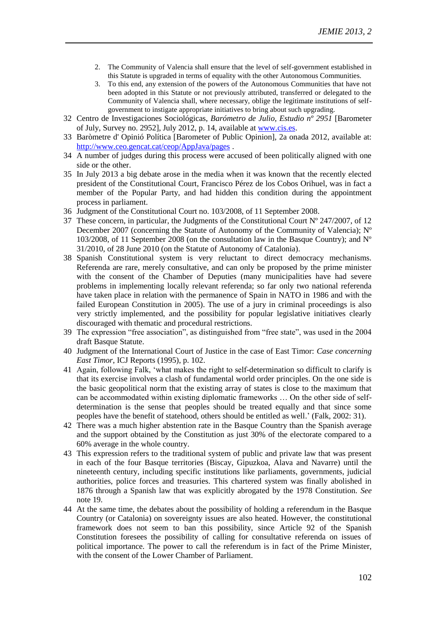- 2. The Community of Valencia shall ensure that the level of self-government established in this Statute is upgraded in terms of equality with the other Autonomous Communities.
- 3. To this end, any extension of the powers of the Autonomous Communities that have not been adopted in this Statute or not previously attributed, transferred or delegated to the Community of Valencia shall, where necessary, oblige the legitimate institutions of selfgovernment to instigate appropriate initiatives to bring about such upgrading.
- 32 Centro de Investigaciones Sociológicas, *Barómetro de Julio, Estudio nº 2951* [Barometer of July, Survey no. 2952], July 2012, p. 14, available at [www.cis.es.](http://www.cis.es/)
- 33 Baròmetre d' Opinió Política [Barometer of Public Opinion], 2a onada 2012, available at: <http://www.ceo.gencat.cat/ceop/AppJava/pages> .
- 34 A number of judges during this process were accused of been politically aligned with one side or the other.
- 35 In July 2013 a big debate arose in the media when it was known that the recently elected president of the Constitutional Court, Francisco Pérez de los Cobos Orihuel, was in fact a member of the Popular Party, and had hidden this condition during the appointment process in parliament.
- 36 Judgment of the Constitutional Court no. 103/2008, of 11 September 2008.
- 37 These concern, in particular, the Judgments of the Constitutional Court Nº 247/2007, of 12 December 2007 (concerning the Statute of Autonomy of the Community of Valencia); Nº 103/2008, of 11 September 2008 (on the consultation law in the Basque Country); and  $N^{\circ}$ 31/2010, of 28 June 2010 (on the Statute of Autonomy of Catalonia).
- 38 Spanish Constitutional system is very reluctant to direct democracy mechanisms. Referenda are rare, merely consultative, and can only be proposed by the prime minister with the consent of the Chamber of Deputies (many municipalities have had severe problems in implementing locally relevant referenda; so far only two national referenda have taken place in relation with the permanence of Spain in NATO in 1986 and with the failed European Constitution in 2005). The use of a jury in criminal proceedings is also very strictly implemented, and the possibility for popular legislative initiatives clearly discouraged with thematic and procedural restrictions.
- 39 The expression "free association", as distinguished from "free state", was used in the 2004 draft Basque Statute.
- 40 Judgment of the International Court of Justice in the case of East Timor: *Case concerning East Timor*, ICJ Reports (1995), p. 102.
- 41 Again, following Falk, 'what makes the right to self-determination so difficult to clarify is that its exercise involves a clash of fundamental world order principles. On the one side is the basic geopolitical norm that the existing array of states is close to the maximum that can be accommodated within existing diplomatic frameworks … On the other side of selfdetermination is the sense that peoples should be treated equally and that since some peoples have the benefit of statehood, others should be entitled as well.' (Falk, 2002: 31).
- 42 There was a much higher abstention rate in the Basque Country than the Spanish average and the support obtained by the Constitution as just 30% of the electorate compared to a 60% average in the whole country.
- 43 This expression refers to the traditional system of public and private law that was present in each of the four Basque territories (Biscay, Gipuzkoa, Alava and Navarre) until the nineteenth century, including specific institutions like parliaments, governments, judicial authorities, police forces and treasuries. This chartered system was finally abolished in 1876 through a Spanish law that was explicitly abrogated by the 1978 Constitution. *See* note 19.
- 44 At the same time, the debates about the possibility of holding a referendum in the Basque Country (or Catalonia) on sovereignty issues are also heated. However, the constitutional framework does not seem to ban this possibility, since Article 92 of the Spanish Constitution foresees the possibility of calling for consultative referenda on issues of political importance. The power to call the referendum is in fact of the Prime Minister, with the consent of the Lower Chamber of Parliament.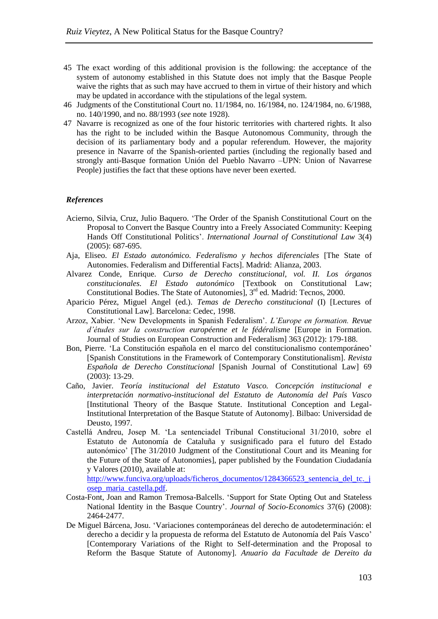- 45 The exact wording of this additional provision is the following: the acceptance of the system of autonomy established in this Statute does not imply that the Basque People waive the rights that as such may have accrued to them in virtue of their history and which may be updated in accordance with the stipulations of the legal system.
- 46 Judgments of the Constitutional Court no. 11/1984, no. 16/1984, no. 124/1984, no. 6/1988, no. 140/1990, and no. 88/1993 (*see* note 1[928\)](#page-8-0).
- 47 Navarre is recognized as one of the four historic territories with chartered rights. It also has the right to be included within the Basque Autonomous Community, through the decision of its parliamentary body and a popular referendum. However, the majority presence in Navarre of the Spanish-oriented parties (including the regionally based and strongly anti-Basque formation Unión del Pueblo Navarro –UPN: Union of Navarrese People) justifies the fact that these options have never been exerted.

#### *References*

- Acierno, Silvia, Cruz, Julio Baquero. 'The Order of the Spanish Constitutional Court on the Proposal to Convert the Basque Country into a Freely Associated Community: Keeping Hands Off Constitutional Politics'. *International Journal of Constitutional Law* 3(4) (2005): 687-695.
- Aja, Eliseo. *El Estado autonómico. Federalismo y hechos diferenciales* [The State of Autonomies. Federalism and Differential Facts]. Madrid: Alianza, 2003.
- Alvarez Conde, Enrique. *Curso de Derecho constitucional, vol. II. Los órganos constitucionales. El Estado autonómico* [Textbook on Constitutional Law; Constitutional Bodies. The State of Autonomies], 3<sup>rd</sup> ed. Madrid: Tecnos, 2000.
- Aparicio Pérez, Miguel Angel (ed.). *Temas de Derecho constitucional* (I) [Lectures of Constitutional Law]. Barcelona: Cedec, 1998.
- Arzoz, Xabier. 'New Developments in Spanish Federalism'. *L'Europe en formation. Revue d'études sur la construction européenne et le fédéralisme* [Europe in Formation. Journal of Studies on European Construction and Federalism] 363 (2012): 179-188.
- Bon, Pierre. 'La Constitución española en el marco del constitucionalismo contemporáneo' [Spanish Constitutions in the Framework of Contemporary Constitutionalism]. *Revista Española de Derecho Constitucional* [Spanish Journal of Constitutional Law] 69 (2003): 13-29.
- Caño, Javier. *Teoría institucional del Estatuto Vasco. Concepción institucional e interpretación normativo-institucional del Estatuto de Autonomía del País Vasco*  [Institutional Theory of the Basque Statute. Institutional Conception and Legal-Institutional Interpretation of the Basque Statute of Autonomy]. Bilbao: Universidad de Deusto, 1997.
- Castellá Andreu, Josep M. 'La sentenciadel Tribunal Constitucional 31/2010, sobre el Estatuto de Autonomía de Cataluña y susignificado para el futuro del Estado autonómico' [The 31/2010 Judgment of the Constitutional Court and its Meaning for the Future of the State of Autonomies], paper published by the Foundation Ciudadanía y Valores (2010), available at:

[http://www.funciva.org/uploads/ficheros\\_documentos/1284366523\\_sentencia\\_del\\_tc.\\_j](http://www.funciva.org/uploads/ficheros_documentos/1284366523_sentencia_del_tc._josep_maria_castella.pdf) [osep\\_maria\\_castella.pdf.](http://www.funciva.org/uploads/ficheros_documentos/1284366523_sentencia_del_tc._josep_maria_castella.pdf)

- Costa-Font, Joan and Ramon Tremosa-Balcells. 'Support for State Opting Out and Stateless National Identity in the Basque Country'. *Journal of Socio-Economics* 37(6) (2008): 2464-2477.
- De Miguel Bárcena, Josu. 'Variaciones contemporáneas del derecho de autodeterminación: el derecho a decidir y la propuesta de reforma del Estatuto de Autonomía del País Vasco' [Contemporary Variations of the Right to Self-determination and the Proposal to Reform the Basque Statute of Autonomy]. *Anuario da Facultade de Dereito da*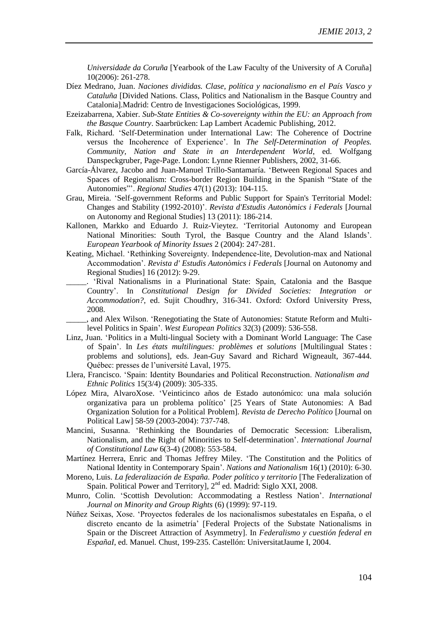*Universidade da Coruña* [Yearbook of the Law Faculty of the University of A Coruña] 10(2006): 261-278.

- Díez Medrano, Juan. *Naciones divididas. Clase, política y nacionalismo en el País Vasco y Cataluña* [Divided Nations. Class, Politics and Nationalism in the Basque Country and Catalonia].Madrid: Centro de Investigaciones Sociológicas, 1999.
- Ezeizabarrena, Xabier. *Sub-State Entities & Co-sovereignty within the EU: an Approach from the Basque Country*. Saarbrücken: Lap Lambert Academic Publishing, 2012.
- Falk, Richard. 'Self-Determination under International Law: The Coherence of Doctrine versus the Incoherence of Experience'. In *The Self-Determination of Peoples. Community, Nation and State in an Interdependent World*, ed. Wolfgang Danspeckgruber, Page-Page. London: Lynne Rienner Publishers, 2002, 31-66.
- García-Álvarez, Jacobo and Juan-Manuel Trillo-Santamaría. 'Between Regional Spaces and Spaces of Regionalism: Cross-border Region Building in the Spanish "State of the Autonomies"'. *Regional Studies* 47(1) (2013): 104-115.
- Grau, Mireia. 'Self-government Reforms and Public Support for Spain's Territorial Model: Changes and Stability (1992-2010)'. *Revista d'Estudis Autonòmics i Federals* [Journal on Autonomy and Regional Studies] 13 (2011): 186-214.
- Kallonen, Markko and Eduardo J. Ruiz-Vieytez. 'Territorial Autonomy and European National Minorities: South Tyrol, the Basque Country and the Aland Islands'. *European Yearbook of Minority Issues* 2 (2004): 247-281.
- Keating, Michael. 'Rethinking Sovereignty. Independence-lite, Devolution-max and National Accommodation'. *Revista d' Estudis Autonòmics i Federals* [Journal on Autonomy and Regional Studies] 16 (2012): 9-29.
- \_\_\_\_\_. 'Rival Nationalisms in a Plurinational State: Spain, Catalonia and the Basque Country'. In *Constitutional Design for Divided Societies: Integration or Accommodation?*, ed. Sujit Choudhry, 316-341. Oxford: Oxford University Press, 2008.
	- \_\_\_\_\_, and Alex Wilson. 'Renegotiating the State of Autonomies: Statute Reform and Multilevel Politics in Spain'. *West European Politics* 32(3) (2009): 536-558.
- Linz, Juan. 'Politics in a Multi-lingual Society with a Dominant World Language: The Case of Spain'. In *Les états multilingues: problèmes et solutions* [Multilingual States : problems and solutions], eds. Jean-Guy Savard and Richard Wigneault, 367-444. Québec: presses de l'université Laval, 1975.
- Llera, Francisco. 'Spain: Identity Boundaries and Political Reconstruction. *Nationalism and Ethnic Politics* 15(3/4) (2009): 305-335.
- López Mira, AlvaroXose. 'Veinticinco años de Estado autonómico: una mala solución organizativa para un problema político' [25 Years of State Autonomies: A Bad Organization Solution for a Political Problem]. *Revista de Derecho Político* [Journal on Political Law] 58-59 (2003-2004): 737-748.
- Mancini, Susanna. 'Rethinking the Boundaries of Democratic Secession: Liberalism, Nationalism, and the Right of Minorities to Self-determination'. *International Journal of Constitutional Law* 6(3-4) (2008): 553-584.
- Martínez Herrera, Enric and Thomas Jeffrey Miley. 'The Constitution and the Politics of National Identity in Contemporary Spain'. *Nations and Nationalism* 16(1) (2010): 6-30.
- Moreno, Luis. *La federalización de España. Poder político y territorio* [The Federalization of Spain. Political Power and Territory], 2<sup>nd</sup> ed. Madrid: Siglo XXI, 2008.
- Munro, Colin. 'Scottish Devolution: Accommodating a Restless Nation'. *International Journal on Minority and Group Rights* (6) (1999): 97-119.
- Núñez Seixas, Xose. 'Proyectos federales de los nacionalismos subestatales en España, o el discreto encanto de la asimetría' [Federal Projects of the Substate Nationalisms in Spain or the Discreet Attraction of Asymmetry]. In *Federalismo y cuestión federal en EspañaI*, ed. Manuel*.* Chust, 199-235. Castellón: UniversitatJaume I, 2004.